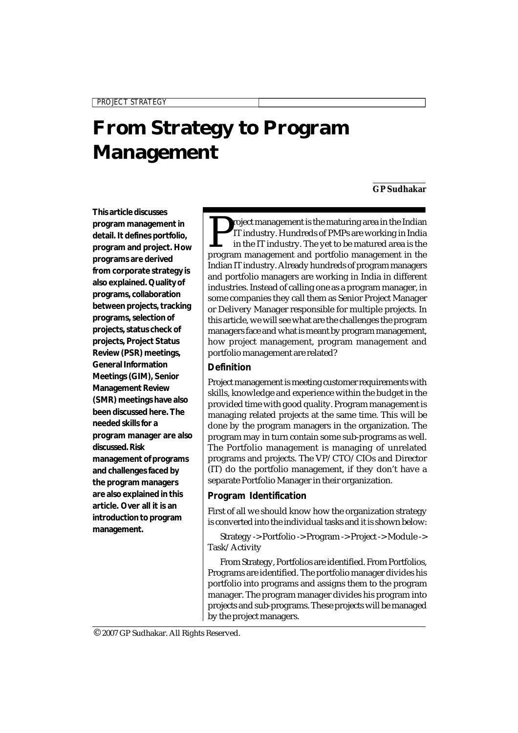# **From Strategy to Program Management**

#### **GP Sudhakar**

*PROJECT STRATEGY*

**This article discusses program management in detail. It defines portfolio, program and project. How programs are derived from corporate strategy is also explained. Quality of programs, collaboration between projects, tracking programs, selection of projects, status check of projects, Project Status Review (PSR) meetings, General Information Meetings (GIM), Senior Management Review (SMR) meetings have also been discussed here. The needed skills for a program manager are also discussed. Risk management of programs and challenges faced by the program managers are also explained in this article. Over all it is an introduction to program management.**

Project management is the maturing area in the Indian IT industry. Hundreds of PMPs are working in India<br>in the IT industry. The yet to be matured area is the<br>program management and portfolio management in the roject management is the maturing area in the Indian IT industry. Hundreds of PMPs are working in India in the IT industry. The yet to be matured area is the Indian IT industry. Already hundreds of program managers and portfolio managers are working in India in different industries. Instead of calling one as a program manager, in some companies they call them as Senior Project Manager or Delivery Manager responsible for multiple projects. In this article, we will see what are the challenges the program managers face and what is meant by program management, how project management, program management and portfolio management are related?

## **Definition**

Project management is meeting customer requirements with skills, knowledge and experience within the budget in the provided time with good quality. Program management is managing related projects at the same time. This will be done by the program managers in the organization. The program may in turn contain some sub-programs as well. The Portfolio management is managing of unrelated programs and projects. The VP/CTO/CIOs and Director (IT) do the portfolio management, if they don't have a separate Portfolio Manager in their organization.

#### **Program Identification**

First of all we should know how the organization strategy is converted into the individual tasks and it is shown below:

Strategy -> Portfolio -> Program -> Project -> Module -> Task/Activity

From Strategy, Portfolios are identified. From Portfolios, Programs are identified. The portfolio manager divides his portfolio into programs and assigns them to the program manager. The program manager divides his program into projects and sub-programs. These projects will be managed by the project managers.

© 2007 GP Sudhakar. All Rights Reserved.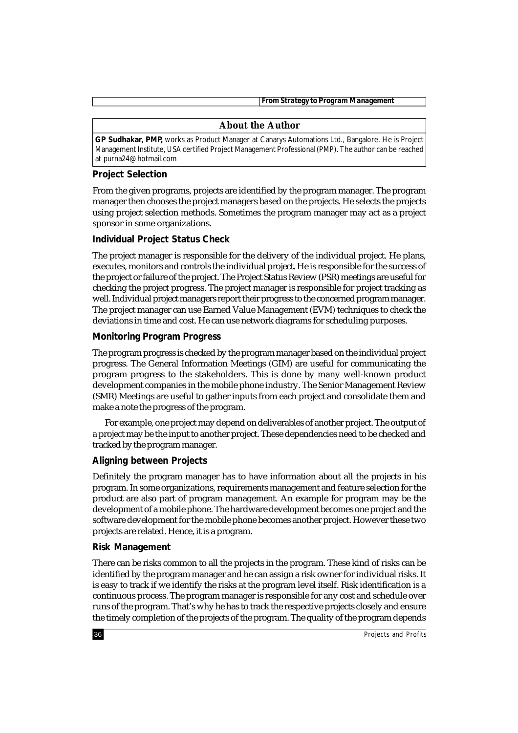*From Strategy to Program Management*

#### **About the Author**

**GP Sudhakar, PMP,** works as Product Manager at Canarys Automations Ltd., Bangalore. He is Project Management Institute, USA certified Project Management Professional (PMP). The author can be reached at purna24@hotmail.com

# **Project Selection**

From the given programs, projects are identified by the program manager. The program manager then chooses the project managers based on the projects. He selects the projects using project selection methods. Sometimes the program manager may act as a project sponsor in some organizations.

## **Individual Project Status Check**

The project manager is responsible for the delivery of the individual project. He plans, executes, monitors and controls the individual project. He is responsible for the success of the project or failure of the project. The Project Status Review (PSR) meetings are useful for checking the project progress. The project manager is responsible for project tracking as well. Individual project managers report their progress to the concerned program manager. The project manager can use Earned Value Management (EVM) techniques to check the deviations in time and cost. He can use network diagrams for scheduling purposes.

## **Monitoring Program Progress**

The program progress is checked by the program manager based on the individual project progress. The General Information Meetings (GIM) are useful for communicating the program progress to the stakeholders. This is done by many well-known product development companies in the mobile phone industry. The Senior Management Review (SMR) Meetings are useful to gather inputs from each project and consolidate them and make a note the progress of the program.

For example, one project may depend on deliverables of another project. The output of a project may be the input to another project. These dependencies need to be checked and tracked by the program manager.

## **Aligning between Projects**

Definitely the program manager has to have information about all the projects in his program. In some organizations, requirements management and feature selection for the product are also part of program management. An example for program may be the development of a mobile phone. The hardware development becomes one project and the software development for the mobile phone becomes another project. However these two projects are related. Hence, it is a program.

## **Risk Management**

There can be risks common to all the projects in the program. These kind of risks can be identified by the program manager and he can assign a risk owner for individual risks. It is easy to track if we identify the risks at the program level itself. Risk identification is a continuous process. The program manager is responsible for any cost and schedule over runs of the program. That's why he has to track the respective projects closely and ensure the timely completion of the projects of the program. The quality of the program depends